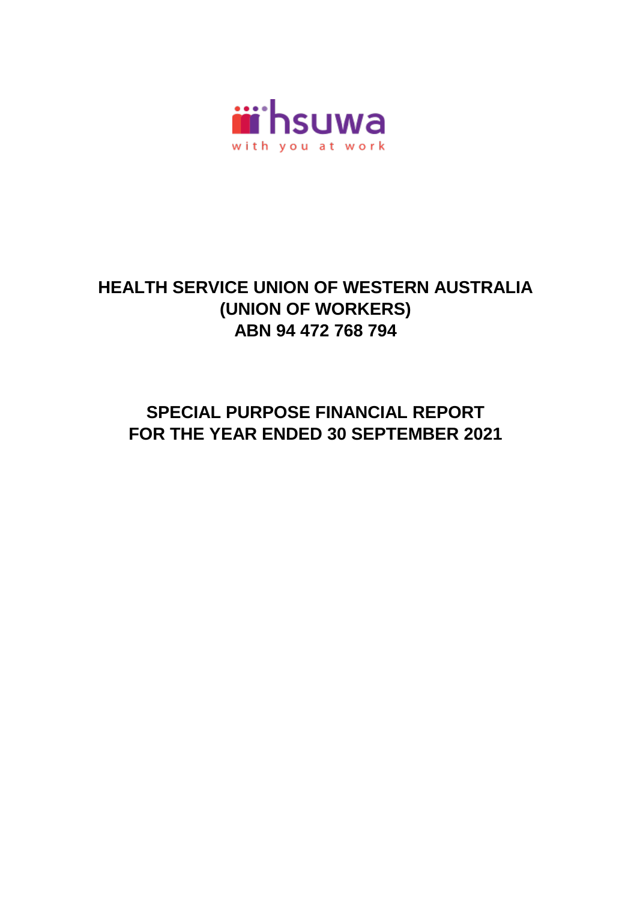

# **HEALTH SERVICE UNION OF WESTERN AUSTRALIA ABN 94 472 768 794 (UNION OF WORKERS)**

# **SPECIAL PURPOSE FINANCIAL REPORT FOR THE YEAR ENDED 30 SEPTEMBER 2021**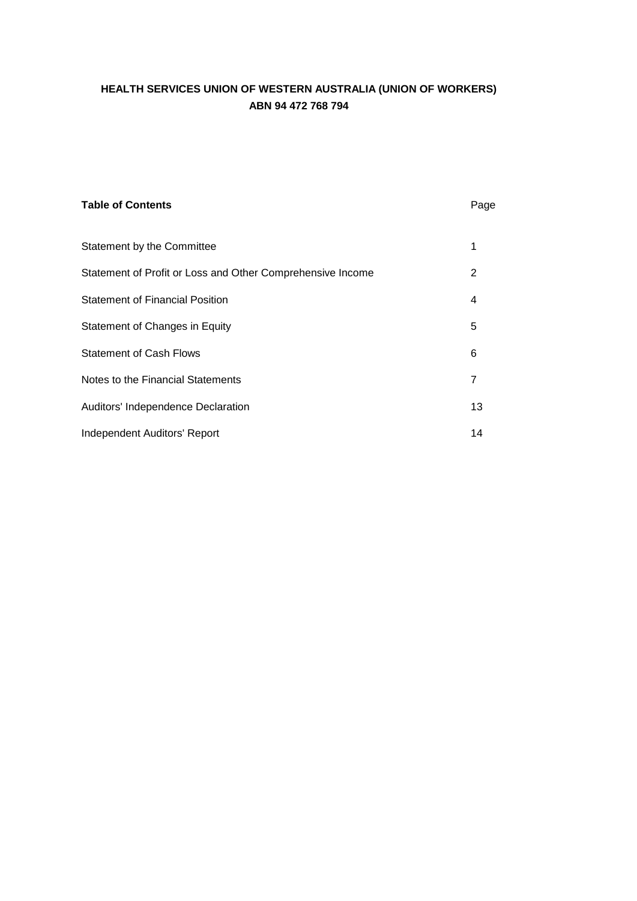| <b>Table of Contents</b>                                   | Page           |
|------------------------------------------------------------|----------------|
| Statement by the Committee                                 | 1              |
| Statement of Profit or Loss and Other Comprehensive Income | 2              |
| <b>Statement of Financial Position</b>                     | 4              |
| Statement of Changes in Equity                             | 5              |
| <b>Statement of Cash Flows</b>                             | 6              |
| Notes to the Financial Statements                          | $\overline{7}$ |
| Auditors' Independence Declaration                         | 13             |
| Independent Auditors' Report                               | 14             |
|                                                            |                |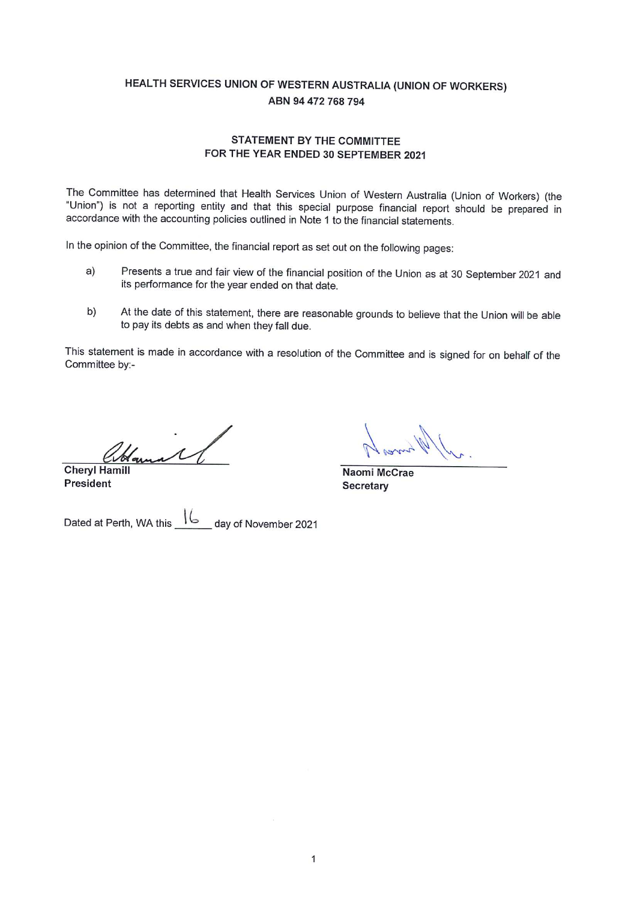#### **STATEMENT BY THE COMMITTEE** FOR THE YEAR ENDED 30 SEPTEMBER 2021

The Committee has determined that Health Services Union of Western Australia (Union of Workers) (the "Union") is not a reporting entity and that this special purpose financial report should be prepared in accordance with the accounting policies outlined in Note 1 to the financial statements.

In the opinion of the Committee, the financial report as set out on the following pages:

- Presents a true and fair view of the financial position of the Union as at 30 September 2021 and  $a)$ its performance for the year ended on that date.
- At the date of this statement, there are reasonable grounds to believe that the Union will be able b) to pay its debts as and when they fall due.

This statement is made in accordance with a resolution of the Committee and is signed for on behalf of the Committee by:-

Hamal **Cheryl Hamill** 

**President** 

Naomi McCrae Secretary

day of November 2021 Dated at Perth, WA this  $\frac{16}{2}$  day of November 2021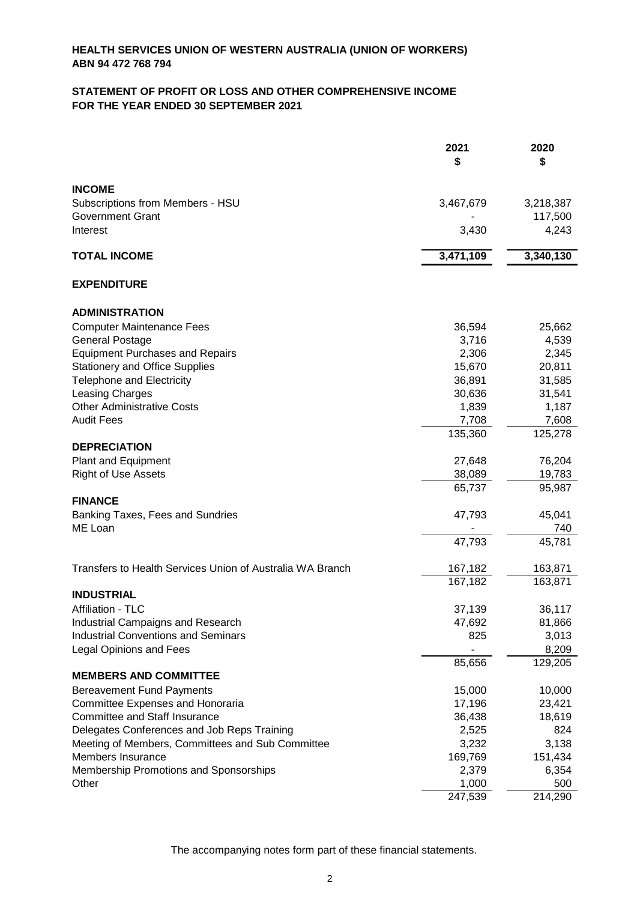# **STATEMENT OF PROFIT OR LOSS AND OTHER COMPREHENSIVE INCOME FOR THE YEAR ENDED 30 SEPTEMBER 2021**

|                                                                       | 2021             | 2020          |
|-----------------------------------------------------------------------|------------------|---------------|
|                                                                       | \$               | \$            |
| <b>INCOME</b>                                                         |                  |               |
| Subscriptions from Members - HSU                                      | 3,467,679        | 3,218,387     |
| <b>Government Grant</b>                                               |                  | 117,500       |
| Interest                                                              | 3,430            | 4,243         |
| <b>TOTAL INCOME</b>                                                   | 3,471,109        | 3,340,130     |
|                                                                       |                  |               |
| <b>EXPENDITURE</b>                                                    |                  |               |
| <b>ADMINISTRATION</b>                                                 |                  |               |
| <b>Computer Maintenance Fees</b>                                      | 36,594           | 25,662        |
| <b>General Postage</b>                                                | 3,716            | 4,539         |
| <b>Equipment Purchases and Repairs</b>                                | 2,306            | 2,345         |
| <b>Stationery and Office Supplies</b>                                 | 15,670           | 20,811        |
| <b>Telephone and Electricity</b>                                      | 36,891           | 31,585        |
| Leasing Charges                                                       | 30,636           | 31,541        |
| <b>Other Administrative Costs</b>                                     | 1,839            | 1,187         |
| <b>Audit Fees</b>                                                     | 7,708            | 7,608         |
|                                                                       | 135,360          | 125,278       |
| <b>DEPRECIATION</b>                                                   |                  |               |
| Plant and Equipment                                                   | 27,648           | 76,204        |
| <b>Right of Use Assets</b>                                            | 38,089           | 19,783        |
| <b>FINANCE</b>                                                        | 65,737           | 95,987        |
|                                                                       |                  |               |
| Banking Taxes, Fees and Sundries<br>ME Loan                           | 47,793           | 45,041<br>740 |
|                                                                       | 47,793           | 45,781        |
|                                                                       |                  |               |
| Transfers to Health Services Union of Australia WA Branch             | 167,182          | 163,871       |
|                                                                       | 167,182          | 163,871       |
| <b>INDUSTRIAL</b>                                                     |                  |               |
| Affiliation - TLC                                                     | 37,139           | 36,117        |
| Industrial Campaigns and Research                                     | 47,692           | 81,866        |
| <b>Industrial Conventions and Seminars</b>                            | 825              | 3,013         |
| <b>Legal Opinions and Fees</b>                                        |                  | 8,209         |
|                                                                       | 85,656           | 129,205       |
| <b>MEMBERS AND COMMITTEE</b>                                          |                  |               |
| <b>Bereavement Fund Payments</b>                                      | 15,000           | 10,000        |
| Committee Expenses and Honoraria                                      | 17,196           | 23,421        |
| <b>Committee and Staff Insurance</b>                                  | 36,438           | 18,619        |
| Delegates Conferences and Job Reps Training                           | 2,525            | 824           |
| Meeting of Members, Committees and Sub Committee<br>Members Insurance | 3,232            | 3,138         |
|                                                                       | 169,769          | 151,434       |
| Membership Promotions and Sponsorships<br>Other                       | 2,379            | 6,354<br>500  |
|                                                                       | 1,000<br>247,539 | 214,290       |
|                                                                       |                  |               |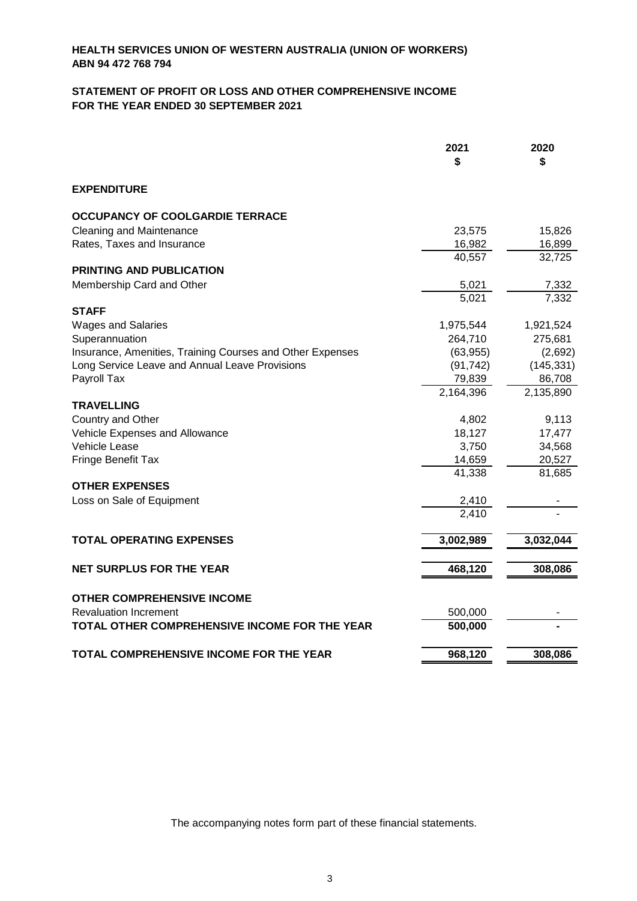# **STATEMENT OF PROFIT OR LOSS AND OTHER COMPREHENSIVE INCOME FOR THE YEAR ENDED 30 SEPTEMBER 2021**

|                                                           | 2021<br>S | 2020<br>\$ |
|-----------------------------------------------------------|-----------|------------|
| <b>EXPENDITURE</b>                                        |           |            |
| OCCUPANCY OF COOLGARDIE TERRACE                           |           |            |
| <b>Cleaning and Maintenance</b>                           | 23,575    | 15,826     |
| Rates, Taxes and Insurance                                | 16,982    | 16,899     |
|                                                           | 40,557    | 32,725     |
| <b>PRINTING AND PUBLICATION</b>                           |           |            |
| Membership Card and Other                                 | 5,021     | 7,332      |
|                                                           | 5,021     | 7,332      |
| <b>STAFF</b>                                              |           |            |
| <b>Wages and Salaries</b>                                 | 1,975,544 | 1,921,524  |
| Superannuation                                            | 264,710   | 275,681    |
| Insurance, Amenities, Training Courses and Other Expenses | (63, 955) | (2,692)    |
| Long Service Leave and Annual Leave Provisions            | (91, 742) | (145, 331) |
| Payroll Tax                                               | 79,839    | 86,708     |
|                                                           | 2,164,396 | 2,135,890  |
| <b>TRAVELLING</b>                                         |           |            |
| Country and Other                                         | 4,802     | 9,113      |
| Vehicle Expenses and Allowance                            | 18,127    | 17,477     |
| Vehicle Lease                                             | 3,750     | 34,568     |
| Fringe Benefit Tax                                        | 14,659    | 20,527     |
|                                                           | 41,338    | 81,685     |
| <b>OTHER EXPENSES</b>                                     |           |            |
| Loss on Sale of Equipment                                 | 2,410     |            |
|                                                           | 2,410     |            |
| <b>TOTAL OPERATING EXPENSES</b>                           | 3,002,989 | 3,032,044  |
|                                                           |           |            |
| <b>NET SURPLUS FOR THE YEAR</b>                           | 468,120   | 308,086    |
| <b>OTHER COMPREHENSIVE INCOME</b>                         |           |            |
| <b>Revaluation Increment</b>                              | 500,000   |            |
| TOTAL OTHER COMPREHENSIVE INCOME FOR THE YEAR             | 500,000   |            |
| TOTAL COMPREHENSIVE INCOME FOR THE YEAR                   | 968,120   | 308,086    |
|                                                           |           |            |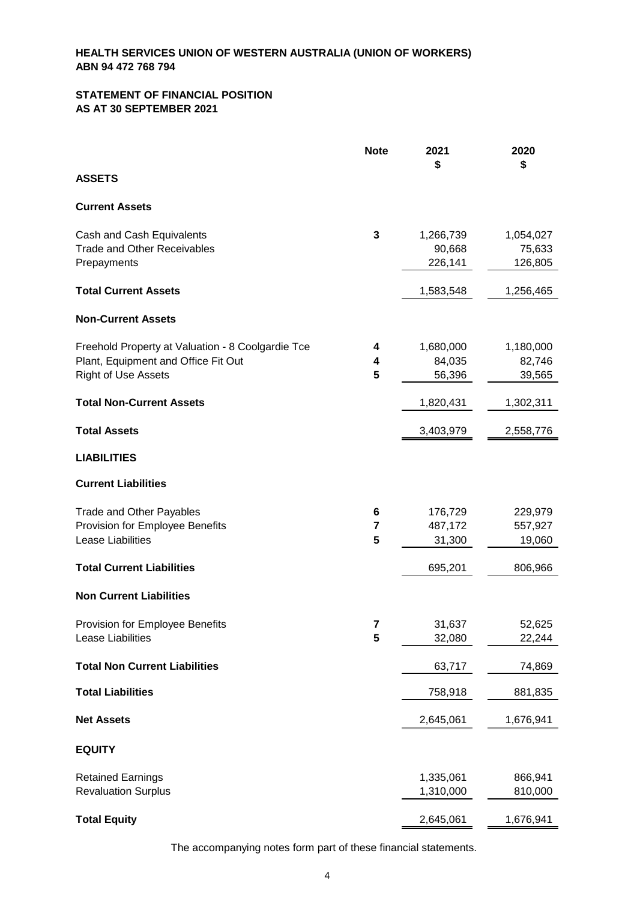#### **STATEMENT OF FINANCIAL POSITION AS AT 30 SEPTEMBER 2021**

|                                                   | <b>Note</b>    | 2021<br>\$        | 2020<br>\$        |
|---------------------------------------------------|----------------|-------------------|-------------------|
| <b>ASSETS</b>                                     |                |                   |                   |
| <b>Current Assets</b>                             |                |                   |                   |
| Cash and Cash Equivalents                         | 3              | 1,266,739         | 1,054,027         |
| <b>Trade and Other Receivables</b><br>Prepayments |                | 90,668<br>226,141 | 75,633<br>126,805 |
| <b>Total Current Assets</b>                       |                | 1,583,548         | 1,256,465         |
| <b>Non-Current Assets</b>                         |                |                   |                   |
| Freehold Property at Valuation - 8 Coolgardie Tce | 4              | 1,680,000         | 1,180,000         |
| Plant, Equipment and Office Fit Out               | 4              | 84,035            | 82,746            |
| <b>Right of Use Assets</b>                        | 5              | 56,396            | 39,565            |
| <b>Total Non-Current Assets</b>                   |                | 1,820,431         | 1,302,311         |
| <b>Total Assets</b>                               |                | 3,403,979         | 2,558,776         |
| <b>LIABILITIES</b>                                |                |                   |                   |
| <b>Current Liabilities</b>                        |                |                   |                   |
| <b>Trade and Other Payables</b>                   | 6              | 176,729           | 229,979           |
| Provision for Employee Benefits                   | $\overline{7}$ | 487,172           | 557,927           |
| Lease Liabilities                                 | 5              | 31,300            | 19,060            |
| <b>Total Current Liabilities</b>                  |                | 695,201           | 806,966           |
| <b>Non Current Liabilities</b>                    |                |                   |                   |
| Provision for Employee Benefits                   | 7              | 31,637            | 52,625            |
| Lease Liabilities                                 | 5              | 32,080            | 22,244            |
| <b>Total Non Current Liabilities</b>              |                | 63,717            | 74,869            |
| <b>Total Liabilities</b>                          |                | 758,918           | 881,835           |
| <b>Net Assets</b>                                 |                | 2,645,061         | 1,676,941         |
| <b>EQUITY</b>                                     |                |                   |                   |
| <b>Retained Earnings</b>                          |                | 1,335,061         | 866,941           |
| <b>Revaluation Surplus</b>                        |                | 1,310,000         | 810,000           |
| <b>Total Equity</b>                               |                | 2,645,061         | 1,676,941         |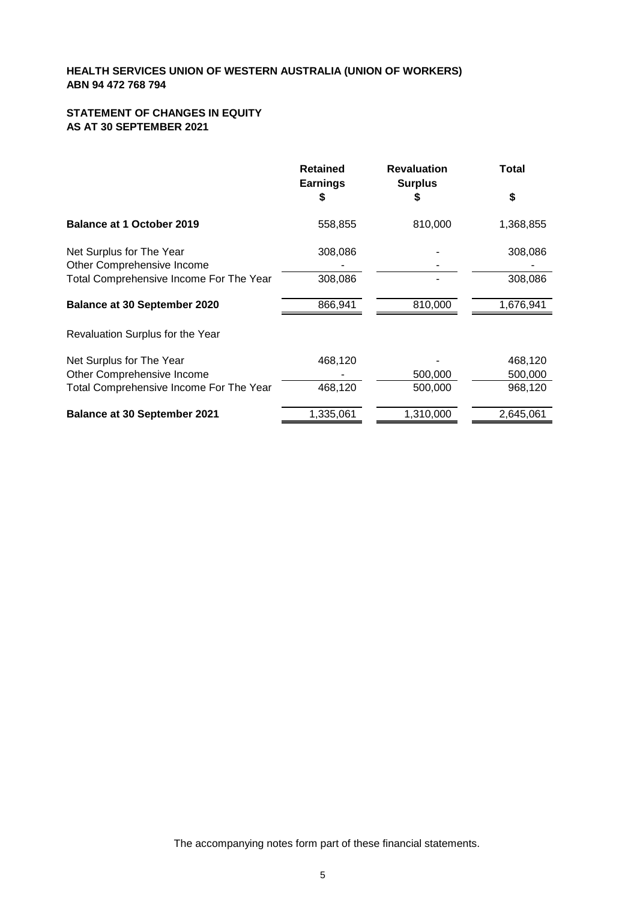# **STATEMENT OF CHANGES IN EQUITY AS AT 30 SEPTEMBER 2021**

|                                                        | <b>Retained</b><br><b>Earnings</b> | <b>Revaluation</b><br><b>Surplus</b> | Total     |
|--------------------------------------------------------|------------------------------------|--------------------------------------|-----------|
|                                                        | \$                                 | S                                    | \$        |
| <b>Balance at 1 October 2019</b>                       | 558,855                            | 810,000                              | 1,368,855 |
| Net Surplus for The Year<br>Other Comprehensive Income | 308,086                            |                                      | 308,086   |
| Total Comprehensive Income For The Year                | 308,086                            |                                      | 308,086   |
| <b>Balance at 30 September 2020</b>                    | 866,941                            | 810,000                              | 1,676,941 |
| Revaluation Surplus for the Year                       |                                    |                                      |           |
| Net Surplus for The Year                               | 468,120                            |                                      | 468,120   |
| Other Comprehensive Income                             |                                    | 500,000                              | 500,000   |
| Total Comprehensive Income For The Year                | 468,120                            | 500,000                              | 968,120   |
| <b>Balance at 30 September 2021</b>                    | 1,335,061                          | 1,310,000                            | 2,645,061 |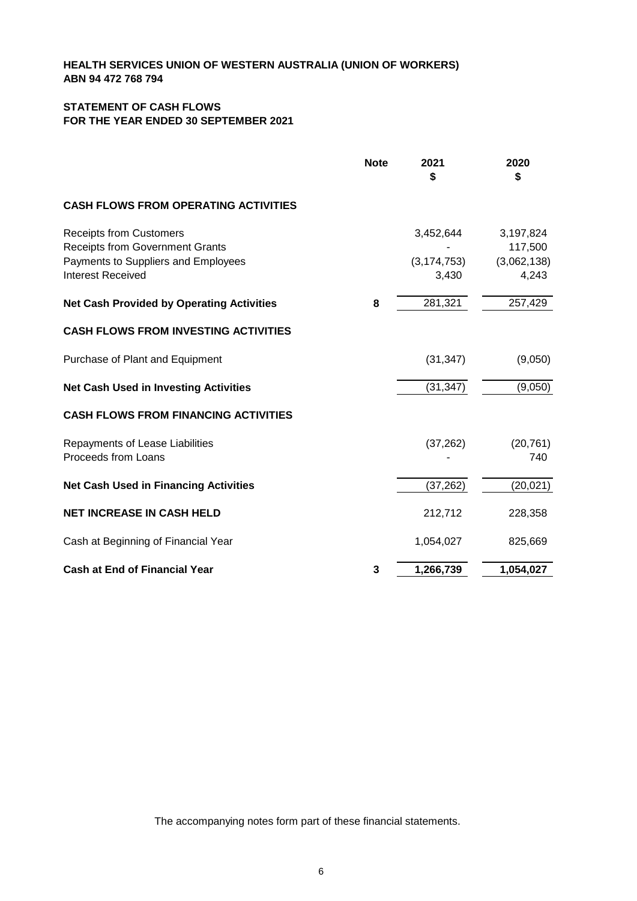# **STATEMENT OF CASH FLOWS FOR THE YEAR ENDED 30 SEPTEMBER 2021**

|                                                                                                                                             | <b>Note</b> | 2021<br>\$                          | 2020<br>\$                                   |
|---------------------------------------------------------------------------------------------------------------------------------------------|-------------|-------------------------------------|----------------------------------------------|
| <b>CASH FLOWS FROM OPERATING ACTIVITIES</b>                                                                                                 |             |                                     |                                              |
| <b>Receipts from Customers</b><br><b>Receipts from Government Grants</b><br>Payments to Suppliers and Employees<br><b>Interest Received</b> |             | 3,452,644<br>(3, 174, 753)<br>3,430 | 3,197,824<br>117,500<br>(3,062,138)<br>4,243 |
| <b>Net Cash Provided by Operating Activities</b>                                                                                            | 8           | 281,321                             | 257,429                                      |
| <b>CASH FLOWS FROM INVESTING ACTIVITIES</b>                                                                                                 |             |                                     |                                              |
| Purchase of Plant and Equipment                                                                                                             |             | (31, 347)                           | (9,050)                                      |
| <b>Net Cash Used in Investing Activities</b>                                                                                                |             | (31, 347)                           | (9,050)                                      |
| <b>CASH FLOWS FROM FINANCING ACTIVITIES</b>                                                                                                 |             |                                     |                                              |
| Repayments of Lease Liabilities<br>Proceeds from Loans                                                                                      |             | (37, 262)                           | (20, 761)<br>740                             |
| <b>Net Cash Used in Financing Activities</b>                                                                                                |             | (37, 262)                           | (20, 021)                                    |
| <b>NET INCREASE IN CASH HELD</b>                                                                                                            |             | 212,712                             | 228,358                                      |
| Cash at Beginning of Financial Year                                                                                                         |             | 1,054,027                           | 825,669                                      |
| <b>Cash at End of Financial Year</b>                                                                                                        | 3           | 1,266,739                           | 1,054,027                                    |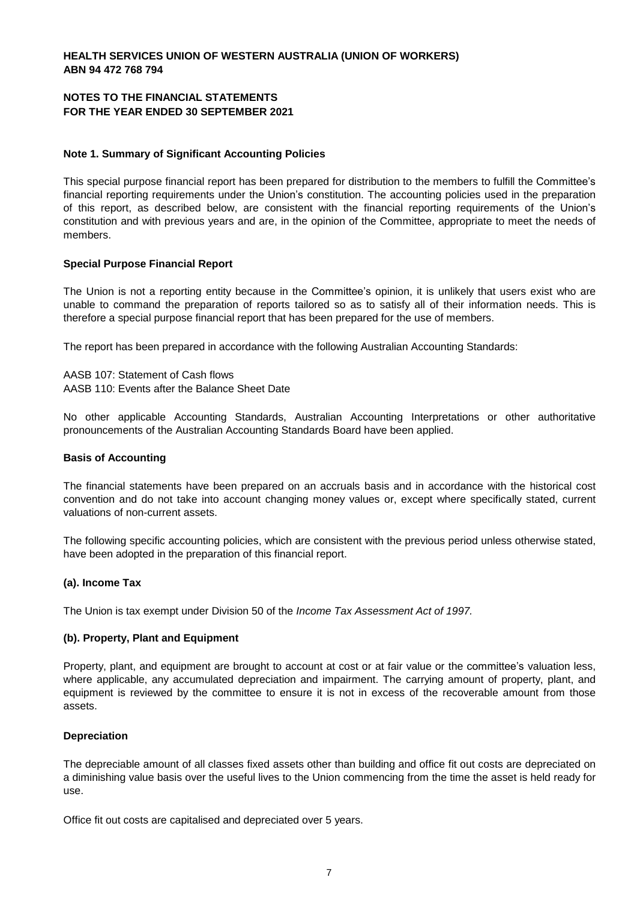#### **NOTES TO THE FINANCIAL STATEMENTS FOR THE YEAR ENDED 30 SEPTEMBER 2021**

#### **Note 1. Summary of Significant Accounting Policies**

This special purpose financial report has been prepared for distribution to the members to fulfill the Committee's financial reporting requirements under the Union's constitution. The accounting policies used in the preparation of this report, as described below, are consistent with the financial reporting requirements of the Union's constitution and with previous years and are, in the opinion of the Committee, appropriate to meet the needs of members.

#### **Special Purpose Financial Report**

The Union is not a reporting entity because in the Committee's opinion, it is unlikely that users exist who are unable to command the preparation of reports tailored so as to satisfy all of their information needs. This is therefore a special purpose financial report that has been prepared for the use of members.

The report has been prepared in accordance with the following Australian Accounting Standards:

AASB 107: Statement of Cash flows AASB 110: Events after the Balance Sheet Date

No other applicable Accounting Standards, Australian Accounting Interpretations or other authoritative pronouncements of the Australian Accounting Standards Board have been applied.

#### **Basis of Accounting**

The financial statements have been prepared on an accruals basis and in accordance with the historical cost convention and do not take into account changing money values or, except where specifically stated, current valuations of non-current assets.

The following specific accounting policies, which are consistent with the previous period unless otherwise stated, have been adopted in the preparation of this financial report.

#### **(a). Income Tax**

The Union is tax exempt under Division 50 of the *Income Tax Assessment Act of 1997.*

#### **(b). Property, Plant and Equipment**

Property, plant, and equipment are brought to account at cost or at fair value or the committee's valuation less, where applicable, any accumulated depreciation and impairment. The carrying amount of property, plant, and equipment is reviewed by the committee to ensure it is not in excess of the recoverable amount from those assets.

#### **Depreciation**

The depreciable amount of all classes fixed assets other than building and office fit out costs are depreciated on a diminishing value basis over the useful lives to the Union commencing from the time the asset is held ready for use.

Office fit out costs are capitalised and depreciated over 5 years.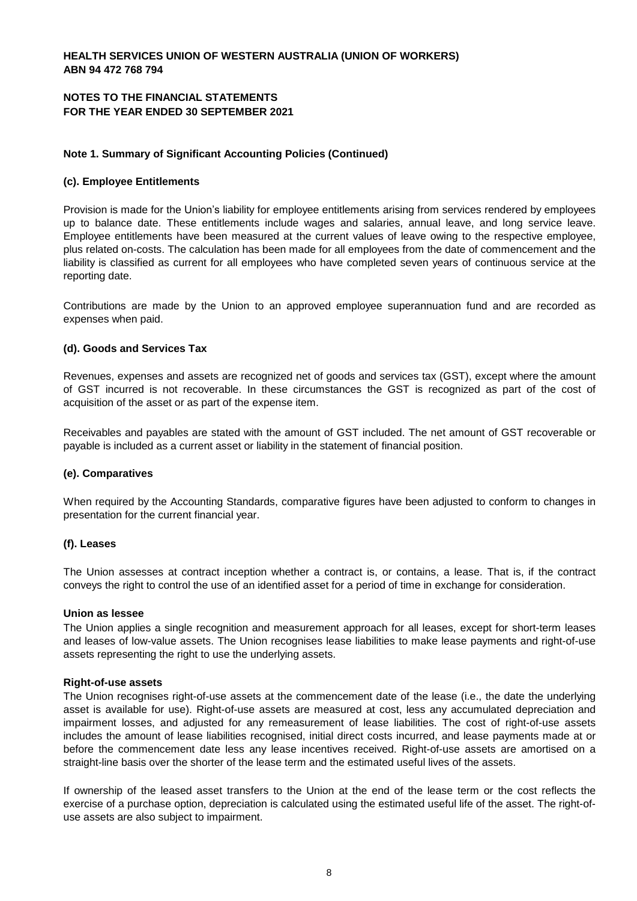# **NOTES TO THE FINANCIAL STATEMENTS FOR THE YEAR ENDED 30 SEPTEMBER 2021**

#### **Note 1. Summary of Significant Accounting Policies (Continued)**

#### **(c). Employee Entitlements**

Provision is made for the Union's liability for employee entitlements arising from services rendered by employees up to balance date. These entitlements include wages and salaries, annual leave, and long service leave. Employee entitlements have been measured at the current values of leave owing to the respective employee, plus related on-costs. The calculation has been made for all employees from the date of commencement and the liability is classified as current for all employees who have completed seven years of continuous service at the reporting date.

Contributions are made by the Union to an approved employee superannuation fund and are recorded as expenses when paid.

#### **(d). Goods and Services Tax**

Revenues, expenses and assets are recognized net of goods and services tax (GST), except where the amount of GST incurred is not recoverable. In these circumstances the GST is recognized as part of the cost of acquisition of the asset or as part of the expense item.

Receivables and payables are stated with the amount of GST included. The net amount of GST recoverable or payable is included as a current asset or liability in the statement of financial position.

#### **(e). Comparatives**

When required by the Accounting Standards, comparative figures have been adjusted to conform to changes in presentation for the current financial year.

#### **(f). Leases**

The Union assesses at contract inception whether a contract is, or contains, a lease. That is, if the contract conveys the right to control the use of an identified asset for a period of time in exchange for consideration.

#### **Union as lessee**

The Union applies a single recognition and measurement approach for all leases, except for short-term leases and leases of low-value assets. The Union recognises lease liabilities to make lease payments and right-of-use assets representing the right to use the underlying assets.

#### **Right-of-use assets**

The Union recognises right-of-use assets at the commencement date of the lease (i.e., the date the underlying asset is available for use). Right-of-use assets are measured at cost, less any accumulated depreciation and impairment losses, and adjusted for any remeasurement of lease liabilities. The cost of right-of-use assets includes the amount of lease liabilities recognised, initial direct costs incurred, and lease payments made at or before the commencement date less any lease incentives received. Right-of-use assets are amortised on a straight-line basis over the shorter of the lease term and the estimated useful lives of the assets.

If ownership of the leased asset transfers to the Union at the end of the lease term or the cost reflects the exercise of a purchase option, depreciation is calculated using the estimated useful life of the asset. The right-ofuse assets are also subject to impairment.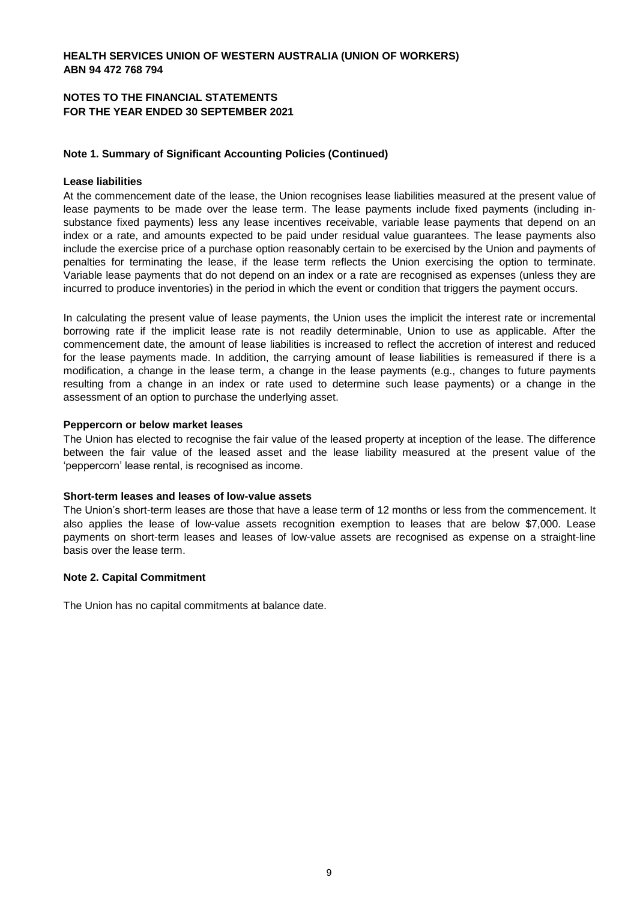#### **NOTES TO THE FINANCIAL STATEMENTS FOR THE YEAR ENDED 30 SEPTEMBER 2021**

### **Note 1. Summary of Significant Accounting Policies (Continued)**

#### **Lease liabilities**

At the commencement date of the lease, the Union recognises lease liabilities measured at the present value of lease payments to be made over the lease term. The lease payments include fixed payments (including insubstance fixed payments) less any lease incentives receivable, variable lease payments that depend on an index or a rate, and amounts expected to be paid under residual value guarantees. The lease payments also include the exercise price of a purchase option reasonably certain to be exercised by the Union and payments of penalties for terminating the lease, if the lease term reflects the Union exercising the option to terminate. Variable lease payments that do not depend on an index or a rate are recognised as expenses (unless they are incurred to produce inventories) in the period in which the event or condition that triggers the payment occurs.

In calculating the present value of lease payments, the Union uses the implicit the interest rate or incremental borrowing rate if the implicit lease rate is not readily determinable, Union to use as applicable. After the commencement date, the amount of lease liabilities is increased to reflect the accretion of interest and reduced for the lease payments made. In addition, the carrying amount of lease liabilities is remeasured if there is a modification, a change in the lease term, a change in the lease payments (e.g., changes to future payments resulting from a change in an index or rate used to determine such lease payments) or a change in the assessment of an option to purchase the underlying asset.

#### **Peppercorn or below market leases**

The Union has elected to recognise the fair value of the leased property at inception of the lease. The difference between the fair value of the leased asset and the lease liability measured at the present value of the 'peppercorn' lease rental, is recognised as income.

#### **Short-term leases and leases of low-value assets**

The Union's short-term leases are those that have a lease term of 12 months or less from the commencement. It also applies the lease of low-value assets recognition exemption to leases that are below \$7,000. Lease payments on short-term leases and leases of low-value assets are recognised as expense on a straight-line basis over the lease term.

#### **Note 2. Capital Commitment**

The Union has no capital commitments at balance date.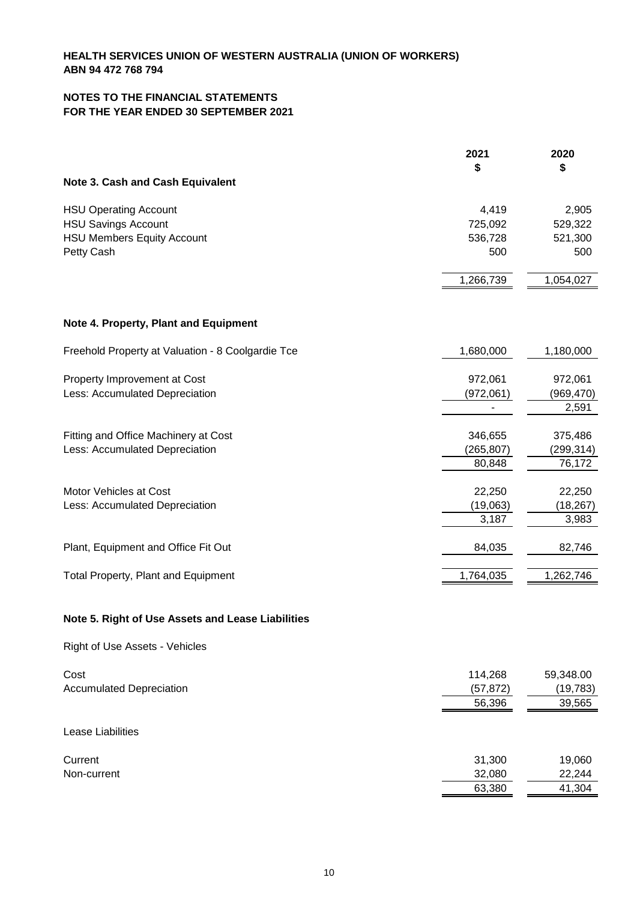## **NOTES TO THE FINANCIAL STATEMENTS FOR THE YEAR ENDED 30 SEPTEMBER 2021**

| \$<br>\$<br>Note 3. Cash and Cash Equivalent<br>4,419<br><b>HSU Operating Account</b><br>2,905<br><b>HSU Savings Account</b><br>725,092<br>529,322<br><b>HSU Members Equity Account</b><br>536,728<br>521,300<br>Petty Cash<br>500<br>500<br>1,266,739<br>1,054,027<br>Note 4. Property, Plant and Equipment<br>Freehold Property at Valuation - 8 Coolgardie Tce<br>1,680,000<br>1,180,000<br>Property Improvement at Cost<br>972,061<br>972,061<br>Less: Accumulated Depreciation<br>(972,061)<br>(969,470)<br>2,591<br>346,655<br>Fitting and Office Machinery at Cost<br>375,486<br>Less: Accumulated Depreciation<br>(265, 807)<br>(299, 314)<br>80,848<br>76,172<br>Motor Vehicles at Cost<br>22,250<br>22,250<br>Less: Accumulated Depreciation<br>(19,063)<br>(18, 267)<br>3,187<br>3,983<br>Plant, Equipment and Office Fit Out<br>84,035<br>82,746<br>1,764,035<br>1,262,746<br>Total Property, Plant and Equipment<br>Note 5. Right of Use Assets and Lease Liabilities<br>Right of Use Assets - Vehicles<br>Cost<br>114,268<br>59,348.00<br><b>Accumulated Depreciation</b><br>(57, 872)<br>(19, 783)<br>56,396<br>39,565<br>Lease Liabilities<br>31,300<br>Current<br>19,060<br>32,080<br>22,244<br>Non-current<br>63,380<br>41,304 | 2021 | 2020 |
|--------------------------------------------------------------------------------------------------------------------------------------------------------------------------------------------------------------------------------------------------------------------------------------------------------------------------------------------------------------------------------------------------------------------------------------------------------------------------------------------------------------------------------------------------------------------------------------------------------------------------------------------------------------------------------------------------------------------------------------------------------------------------------------------------------------------------------------------------------------------------------------------------------------------------------------------------------------------------------------------------------------------------------------------------------------------------------------------------------------------------------------------------------------------------------------------------------------------------------------------------|------|------|
|                                                                                                                                                                                                                                                                                                                                                                                                                                                                                                                                                                                                                                                                                                                                                                                                                                                                                                                                                                                                                                                                                                                                                                                                                                                  |      |      |
|                                                                                                                                                                                                                                                                                                                                                                                                                                                                                                                                                                                                                                                                                                                                                                                                                                                                                                                                                                                                                                                                                                                                                                                                                                                  |      |      |
|                                                                                                                                                                                                                                                                                                                                                                                                                                                                                                                                                                                                                                                                                                                                                                                                                                                                                                                                                                                                                                                                                                                                                                                                                                                  |      |      |
|                                                                                                                                                                                                                                                                                                                                                                                                                                                                                                                                                                                                                                                                                                                                                                                                                                                                                                                                                                                                                                                                                                                                                                                                                                                  |      |      |
|                                                                                                                                                                                                                                                                                                                                                                                                                                                                                                                                                                                                                                                                                                                                                                                                                                                                                                                                                                                                                                                                                                                                                                                                                                                  |      |      |
|                                                                                                                                                                                                                                                                                                                                                                                                                                                                                                                                                                                                                                                                                                                                                                                                                                                                                                                                                                                                                                                                                                                                                                                                                                                  |      |      |
|                                                                                                                                                                                                                                                                                                                                                                                                                                                                                                                                                                                                                                                                                                                                                                                                                                                                                                                                                                                                                                                                                                                                                                                                                                                  |      |      |
|                                                                                                                                                                                                                                                                                                                                                                                                                                                                                                                                                                                                                                                                                                                                                                                                                                                                                                                                                                                                                                                                                                                                                                                                                                                  |      |      |
|                                                                                                                                                                                                                                                                                                                                                                                                                                                                                                                                                                                                                                                                                                                                                                                                                                                                                                                                                                                                                                                                                                                                                                                                                                                  |      |      |
|                                                                                                                                                                                                                                                                                                                                                                                                                                                                                                                                                                                                                                                                                                                                                                                                                                                                                                                                                                                                                                                                                                                                                                                                                                                  |      |      |
|                                                                                                                                                                                                                                                                                                                                                                                                                                                                                                                                                                                                                                                                                                                                                                                                                                                                                                                                                                                                                                                                                                                                                                                                                                                  |      |      |
|                                                                                                                                                                                                                                                                                                                                                                                                                                                                                                                                                                                                                                                                                                                                                                                                                                                                                                                                                                                                                                                                                                                                                                                                                                                  |      |      |
|                                                                                                                                                                                                                                                                                                                                                                                                                                                                                                                                                                                                                                                                                                                                                                                                                                                                                                                                                                                                                                                                                                                                                                                                                                                  |      |      |
|                                                                                                                                                                                                                                                                                                                                                                                                                                                                                                                                                                                                                                                                                                                                                                                                                                                                                                                                                                                                                                                                                                                                                                                                                                                  |      |      |
|                                                                                                                                                                                                                                                                                                                                                                                                                                                                                                                                                                                                                                                                                                                                                                                                                                                                                                                                                                                                                                                                                                                                                                                                                                                  |      |      |
|                                                                                                                                                                                                                                                                                                                                                                                                                                                                                                                                                                                                                                                                                                                                                                                                                                                                                                                                                                                                                                                                                                                                                                                                                                                  |      |      |
|                                                                                                                                                                                                                                                                                                                                                                                                                                                                                                                                                                                                                                                                                                                                                                                                                                                                                                                                                                                                                                                                                                                                                                                                                                                  |      |      |
|                                                                                                                                                                                                                                                                                                                                                                                                                                                                                                                                                                                                                                                                                                                                                                                                                                                                                                                                                                                                                                                                                                                                                                                                                                                  |      |      |
|                                                                                                                                                                                                                                                                                                                                                                                                                                                                                                                                                                                                                                                                                                                                                                                                                                                                                                                                                                                                                                                                                                                                                                                                                                                  |      |      |
|                                                                                                                                                                                                                                                                                                                                                                                                                                                                                                                                                                                                                                                                                                                                                                                                                                                                                                                                                                                                                                                                                                                                                                                                                                                  |      |      |
|                                                                                                                                                                                                                                                                                                                                                                                                                                                                                                                                                                                                                                                                                                                                                                                                                                                                                                                                                                                                                                                                                                                                                                                                                                                  |      |      |
|                                                                                                                                                                                                                                                                                                                                                                                                                                                                                                                                                                                                                                                                                                                                                                                                                                                                                                                                                                                                                                                                                                                                                                                                                                                  |      |      |
|                                                                                                                                                                                                                                                                                                                                                                                                                                                                                                                                                                                                                                                                                                                                                                                                                                                                                                                                                                                                                                                                                                                                                                                                                                                  |      |      |
|                                                                                                                                                                                                                                                                                                                                                                                                                                                                                                                                                                                                                                                                                                                                                                                                                                                                                                                                                                                                                                                                                                                                                                                                                                                  |      |      |
|                                                                                                                                                                                                                                                                                                                                                                                                                                                                                                                                                                                                                                                                                                                                                                                                                                                                                                                                                                                                                                                                                                                                                                                                                                                  |      |      |
|                                                                                                                                                                                                                                                                                                                                                                                                                                                                                                                                                                                                                                                                                                                                                                                                                                                                                                                                                                                                                                                                                                                                                                                                                                                  |      |      |
|                                                                                                                                                                                                                                                                                                                                                                                                                                                                                                                                                                                                                                                                                                                                                                                                                                                                                                                                                                                                                                                                                                                                                                                                                                                  |      |      |
|                                                                                                                                                                                                                                                                                                                                                                                                                                                                                                                                                                                                                                                                                                                                                                                                                                                                                                                                                                                                                                                                                                                                                                                                                                                  |      |      |
|                                                                                                                                                                                                                                                                                                                                                                                                                                                                                                                                                                                                                                                                                                                                                                                                                                                                                                                                                                                                                                                                                                                                                                                                                                                  |      |      |
|                                                                                                                                                                                                                                                                                                                                                                                                                                                                                                                                                                                                                                                                                                                                                                                                                                                                                                                                                                                                                                                                                                                                                                                                                                                  |      |      |
|                                                                                                                                                                                                                                                                                                                                                                                                                                                                                                                                                                                                                                                                                                                                                                                                                                                                                                                                                                                                                                                                                                                                                                                                                                                  |      |      |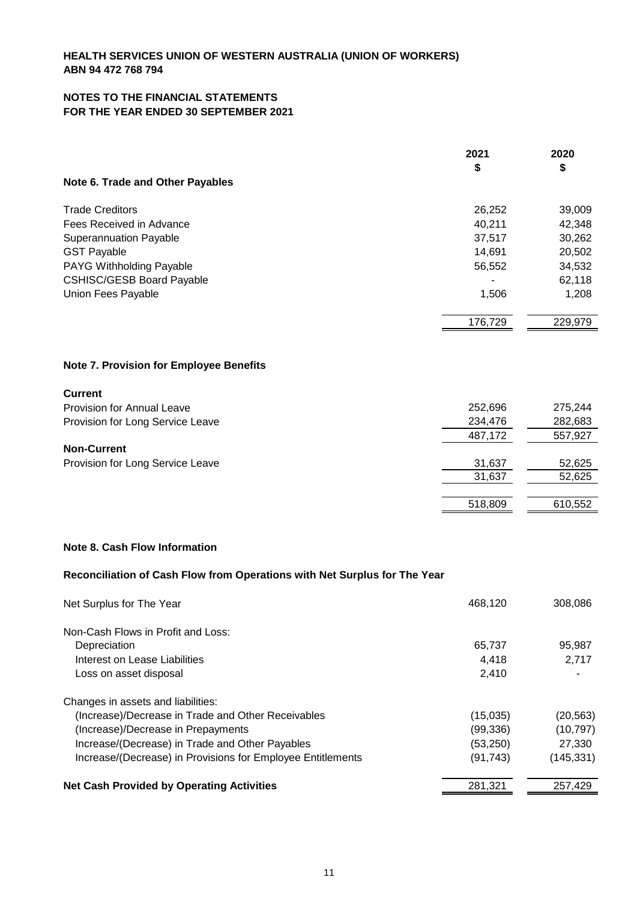### **NOTES TO THE FINANCIAL STATEMENTS FOR THE YEAR ENDED 30 SEPTEMBER 2021**

|                                         | 2021    | 2020    |
|-----------------------------------------|---------|---------|
|                                         | \$      | \$      |
| Note 6. Trade and Other Payables        |         |         |
| <b>Trade Creditors</b>                  | 26,252  | 39,009  |
| Fees Received in Advance                | 40,211  | 42,348  |
| Superannuation Payable                  | 37,517  | 30,262  |
| <b>GST Payable</b>                      | 14,691  | 20,502  |
| PAYG Withholding Payable                | 56,552  | 34,532  |
| <b>CSHISC/GESB Board Payable</b>        |         | 62,118  |
| Union Fees Payable                      | 1,506   | 1,208   |
|                                         | 176,729 | 229,979 |
| Note 7. Provision for Employee Benefits |         |         |
| <b>Current</b>                          |         |         |
| <b>Provision for Annual Leave</b>       | 252,696 | 275,244 |
| Provision for Long Service Leave        | 234,476 | 282,683 |
|                                         | 487,172 | 557,927 |
| <b>Non-Current</b>                      |         |         |
| Provision for Long Service Leave        | 31,637  | 52,625  |
|                                         | 31,637  | 52,625  |
|                                         | 518,809 | 610,552 |
|                                         |         |         |

# **Note 8. Cash Flow Information**

# **Reconciliation of Cash Flow from Operations with Net Surplus for The Year**

| Net Surplus for The Year                                    | 468,120   | 308,086   |
|-------------------------------------------------------------|-----------|-----------|
| Non-Cash Flows in Profit and Loss:                          |           |           |
| Depreciation                                                | 65,737    | 95,987    |
| Interest on Lease Liabilities                               | 4.418     | 2,717     |
| Loss on asset disposal                                      | 2.410     |           |
| Changes in assets and liabilities:                          |           |           |
| (Increase)/Decrease in Trade and Other Receivables          | (15,035)  | (20, 563) |
| (Increase)/Decrease in Prepayments                          | (99, 336) | (10, 797) |
| Increase/(Decrease) in Trade and Other Payables             | (53,250)  | 27,330    |
| Increase/(Decrease) in Provisions for Employee Entitlements | (91, 743) | (145,331) |
| <b>Net Cash Provided by Operating Activities</b>            | 281.321   | 257.429   |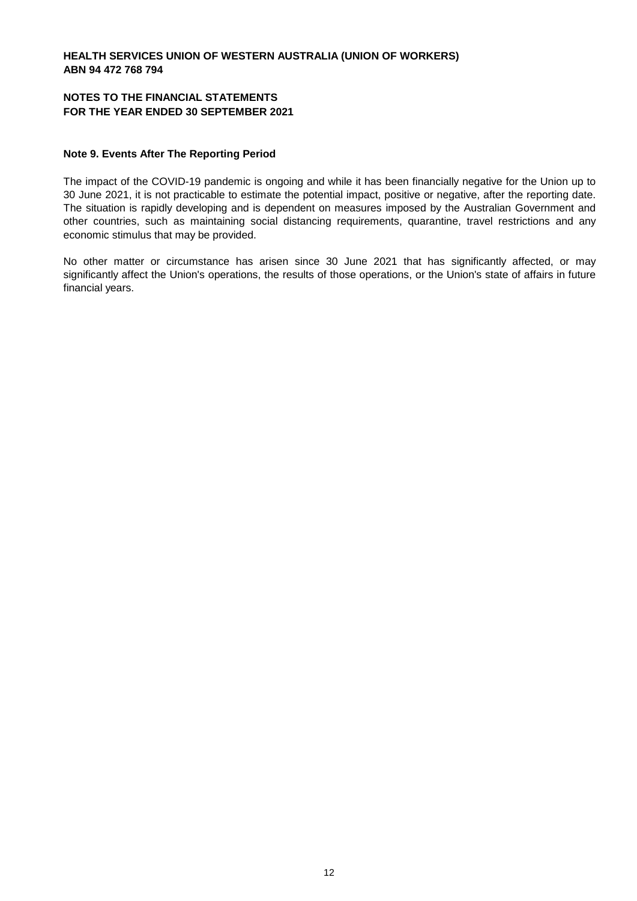#### **NOTES TO THE FINANCIAL STATEMENTS FOR THE YEAR ENDED 30 SEPTEMBER 2021**

#### **Note 9. Events After The Reporting Period**

The impact of the COVID-19 pandemic is ongoing and while it has been financially negative for the Union up to 30 June 2021, it is not practicable to estimate the potential impact, positive or negative, after the reporting date. The situation is rapidly developing and is dependent on measures imposed by the Australian Government and other countries, such as maintaining social distancing requirements, quarantine, travel restrictions and any economic stimulus that may be provided.

No other matter or circumstance has arisen since 30 June 2021 that has significantly affected, or may significantly affect the Union's operations, the results of those operations, or the Union's state of affairs in future financial years.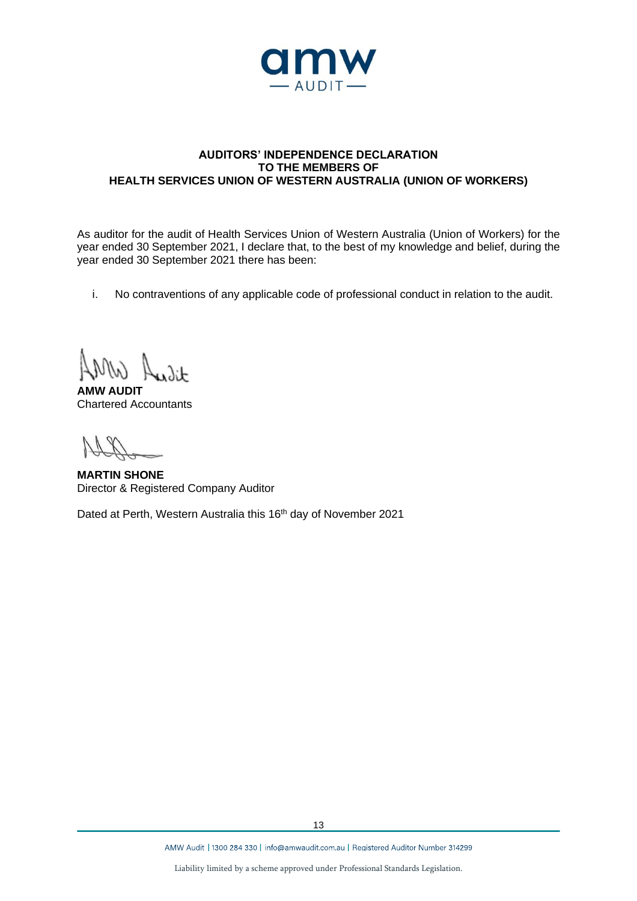

### **AUDITORS' INDEPENDENCE DECLARATION TO THE MEMBERS OF HEALTH SERVICES UNION OF WESTERN AUSTRALIA (UNION OF WORKERS)**

As auditor for the audit of Health Services Union of Western Australia (Union of Workers) for the year ended 30 September 2021, I declare that, to the best of my knowledge and belief, during the year ended 30 September 2021 there has been:

i. No contraventions of any applicable code of professional conduct in relation to the audit.

 $\lambda$ 

**AMW AUDIT** Chartered Accountants

**MARTIN SHONE** Director & Registered Company Auditor

Dated at Perth, Western Australia this 16<sup>th</sup> day of November 2021

AMW Audit | 1300 284 330 | info@amwaudit.com.au | Registered Auditor Number 314299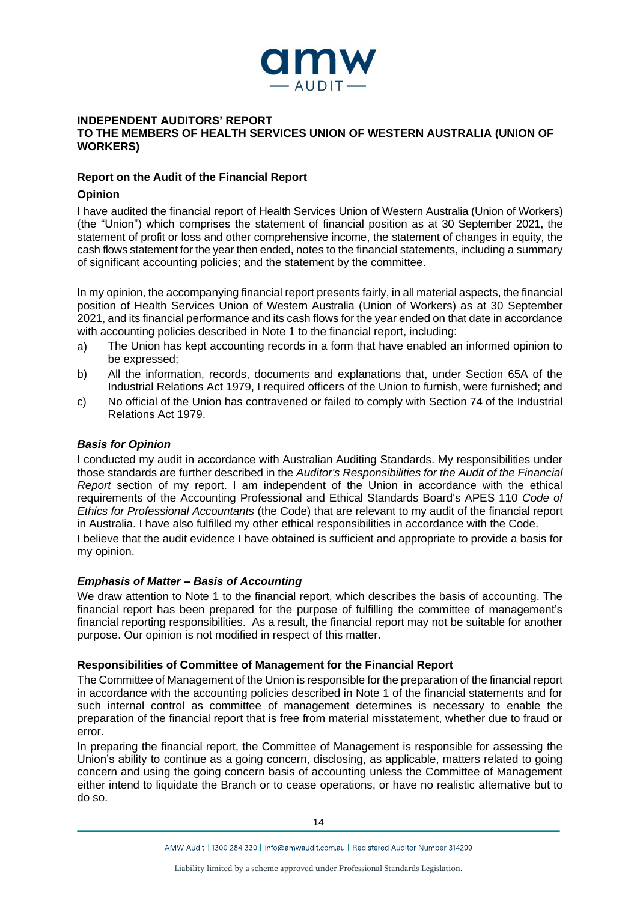

#### **INDEPENDENT AUDITORS' REPORT TO THE MEMBERS OF HEALTH SERVICES UNION OF WESTERN AUSTRALIA (UNION OF WORKERS)**

#### **Report on the Audit of the Financial Report**

# **Opinion**

I have audited the financial report of Health Services Union of Western Australia (Union of Workers) (the "Union") which comprises the statement of financial position as at 30 September 2021, the statement of profit or loss and other comprehensive income, the statement of changes in equity, the cash flows statement for the year then ended, notes to the financial statements, including a summary of significant accounting policies; and the statement by the committee.

In my opinion, the accompanying financial report presents fairly, in all material aspects, the financial position of Health Services Union of Western Australia (Union of Workers) as at 30 September 2021, and its financial performance and its cash flows for the year ended on that date in accordance with accounting policies described in Note 1 to the financial report, including:

- a) The Union has kept accounting records in a form that have enabled an informed opinion to be expressed;
- b) All the information, records, documents and explanations that, under Section 65A of the Industrial Relations Act 1979, I required officers of the Union to furnish, were furnished; and
- c) No official of the Union has contravened or failed to comply with Section 74 of the Industrial Relations Act 1979.

# *Basis for Opinion*

I conducted my audit in accordance with Australian Auditing Standards. My responsibilities under those standards are further described in the *Auditor's Responsibilities for the Audit of the Financial Report* section of my report. I am independent of the Union in accordance with the ethical requirements of the Accounting Professional and Ethical Standards Board's APES 110 *Code of Ethics for Professional Accountants* (the Code) that are relevant to my audit of the financial report in Australia. I have also fulfilled my other ethical responsibilities in accordance with the Code. I believe that the audit evidence I have obtained is sufficient and appropriate to provide a basis for my opinion.

#### *Emphasis of Matter – Basis of Accounting*

We draw attention to Note 1 to the financial report, which describes the basis of accounting. The financial report has been prepared for the purpose of fulfilling the committee of management's financial reporting responsibilities. As a result, the financial report may not be suitable for another purpose. Our opinion is not modified in respect of this matter.

#### **Responsibilities of Committee of Management for the Financial Report**

The Committee of Management of the Union is responsible for the preparation of the financial report in accordance with the accounting policies described in Note 1 of the financial statements and for such internal control as committee of management determines is necessary to enable the preparation of the financial report that is free from material misstatement, whether due to fraud or error.

In preparing the financial report, the Committee of Management is responsible for assessing the Union's ability to continue as a going concern, disclosing, as applicable, matters related to going concern and using the going concern basis of accounting unless the Committee of Management either intend to liquidate the Branch or to cease operations, or have no realistic alternative but to do so.